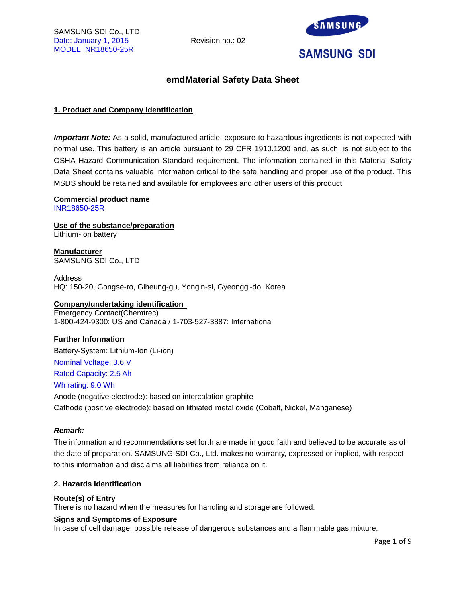

## **emdMaterial Safety Data Sheet**

#### **1. Product and Company Identification**

*Important Note:* As a solid, manufactured article, exposure to hazardous ingredients is not expected with normal use. This battery is an article pursuant to 29 CFR 1910.1200 and, as such, is not subject to the OSHA Hazard Communication Standard requirement. The information contained in this Material Safety Data Sheet contains valuable information critical to the safe handling and proper use of the product. This MSDS should be retained and available for employees and other users of this product.

**Commercial product name**  INR18650-25R

**Use of the substance/preparation** Lithium-Ion battery

**Manufacturer** SAMSUNG SDI Co., LTD

Address HQ: 150-20, Gongse-ro, Giheung-gu, Yongin-si, Gyeonggi-do, Korea

#### **Company/undertaking identification**

Emergency Contact(Chemtrec) 1-800-424-9300: US and Canada / 1-703-527-3887: International

#### **Further Information**

Battery-System: Lithium-Ion (Li-ion) Nominal Voltage: 3.6 V Rated Capacity: 2.5 Ah Wh rating: 9.0 Wh Anode (negative electrode): based on intercalation graphite

Cathode (positive electrode): based on lithiated metal oxide (Cobalt, Nickel, Manganese)

#### *Remark:*

The information and recommendations set forth are made in good faith and believed to be accurate as of the date of preparation. SAMSUNG SDI Co., Ltd. makes no warranty, expressed or implied, with respect to this information and disclaims all liabilities from reliance on it.

#### **2. Hazards Identification**

#### **Route(s) of Entry**

There is no hazard when the measures for handling and storage are followed.

#### **Signs and Symptoms of Exposure**

In case of cell damage, possible release of dangerous substances and a flammable gas mixture.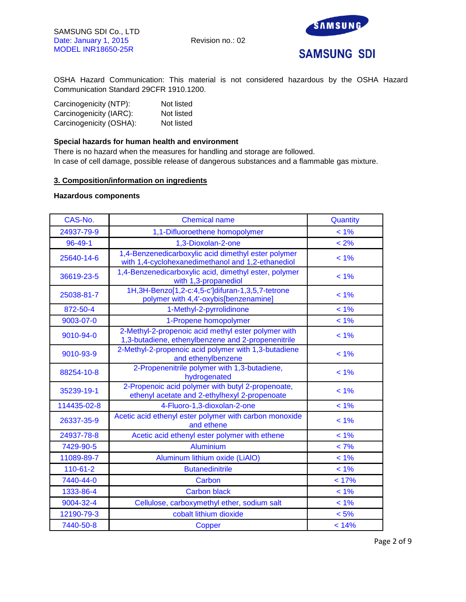

OSHA Hazard Communication: This material is not considered hazardous by the OSHA Hazard Communication Standard 29CFR 1910.1200.

| Carcinogenicity (NTP):  | Not listed |
|-------------------------|------------|
| Carcinogenicity (IARC): | Not listed |
| Carcinogenicity (OSHA): | Not listed |

#### **Special hazards for human health and environment**

There is no hazard when the measures for handling and storage are followed. In case of cell damage, possible release of dangerous substances and a flammable gas mixture.

#### **3. Composition/information on ingredients**

#### **Hazardous components**

| CAS-No.       | <b>Chemical name</b>                                                                                      | Quantity |
|---------------|-----------------------------------------------------------------------------------------------------------|----------|
| 24937-79-9    | 1,1-Difluoroethene homopolymer                                                                            | $< 1\%$  |
| $96 - 49 - 1$ | 1,3-Dioxolan-2-one                                                                                        | < 2%     |
| 25640-14-6    | 1,4-Benzenedicarboxylic acid dimethyl ester polymer<br>with 1,4-cyclohexanedimethanol and 1,2-ethanediol  | $< 1\%$  |
| 36619-23-5    | 1,4-Benzenedicarboxylic acid, dimethyl ester, polymer<br>with 1,3-propanediol                             | $< 1\%$  |
| 25038-81-7    | 1H, 3H-Benzo[1, 2-c: 4, 5-c']difuran-1, 3, 5, 7-tetrone<br>polymer with 4,4'-oxybis[benzenamine]          | $< 1\%$  |
| 872-50-4      | 1-Methyl-2-pyrrolidinone                                                                                  | $< 1\%$  |
| 9003-07-0     | 1-Propene homopolymer                                                                                     | $< 1\%$  |
| 9010-94-0     | 2-Methyl-2-propenoic acid methyl ester polymer with<br>1,3-butadiene, ethenylbenzene and 2-propenenitrile | $< 1\%$  |
| 9010-93-9     | 2-Methyl-2-propenoic acid polymer with 1,3-butadiene<br>and ethenylbenzene                                | $< 1\%$  |
| 88254-10-8    | 2-Propenenitrile polymer with 1,3-butadiene,<br>hydrogenated                                              | $< 1\%$  |
| 35239-19-1    | 2-Propenoic acid polymer with butyl 2-propenoate,<br>ethenyl acetate and 2-ethylhexyl 2-propenoate        | $< 1\%$  |
| 114435-02-8   | 4-Fluoro-1,3-dioxolan-2-one                                                                               | $< 1\%$  |
| 26337-35-9    | Acetic acid ethenyl ester polymer with carbon monoxide<br>and ethene                                      | $< 1\%$  |
| 24937-78-8    | Acetic acid ethenyl ester polymer with ethene                                                             | $< 1\%$  |
| 7429-90-5     | Aluminium                                                                                                 | $< 7\%$  |
| 11089-89-7    | Aluminum lithium oxide (LiAIO)                                                                            | $< 1\%$  |
| 110-61-2      | <b>Butanedinitrile</b>                                                                                    | $< 1\%$  |
| 7440-44-0     | Carbon                                                                                                    | < 17%    |
| 1333-86-4     | <b>Carbon black</b>                                                                                       | $< 1\%$  |
| 9004-32-4     | Cellulose, carboxymethyl ether, sodium salt                                                               | $< 1\%$  |
| 12190-79-3    | cobalt lithium dioxide                                                                                    | < 5%     |
| 7440-50-8     | Copper                                                                                                    | < 14%    |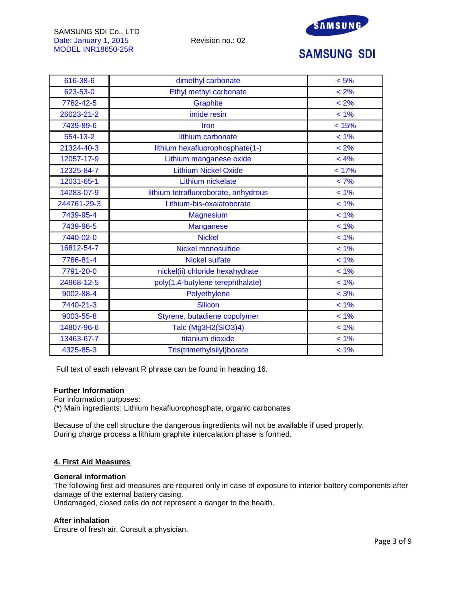

# **SAMSUNG SDI**

| 616-38-6    | dimethyl carbonate                   | $< 5\%$ |
|-------------|--------------------------------------|---------|
| 623-53-0    | Ethyl methyl carbonate               | $< 2\%$ |
| 7782-42-5   | Graphite                             | $< 2\%$ |
| 26023-21-2  | imide resin                          | $< 1\%$ |
| 7439-89-6   | Iron                                 | < 15%   |
| 554-13-2    | lithium carbonate                    | $< 1\%$ |
| 21324-40-3  | lithium hexafluorophosphate(1-)      | $< 2\%$ |
| 12057-17-9  | Lithium manganese oxide              | < 4%    |
| 12325-84-7  | <b>Lithium Nickel Oxide</b>          | < 17%   |
| 12031-65-1  | Lithium nickelate                    | $< 7\%$ |
| 14283-07-9  | lithium tetrafluoroborate, anhydrous | $< 1\%$ |
| 244761-29-3 | Lithium-bis-oxaiatoborate            | $< 1\%$ |
| 7439-95-4   | Magnesium                            | $< 1\%$ |
| 7439-96-5   | <b>Manganese</b>                     | $< 1\%$ |
| 7440-02-0   | <b>Nickel</b>                        | $< 1\%$ |
| 16812-54-7  | Nickel monosulfide                   | $< 1\%$ |
| 7786-81-4   | <b>Nickel sulfate</b>                | $< 1\%$ |
| 7791-20-0   | nickel(ii) chloride hexahydrate      | $< 1\%$ |
| 24968-12-5  | poly(1,4-butylene terephthalate)     | $< 1\%$ |
| 9002-88-4   | Polyethylene                         | $< 3\%$ |
| 7440-21-3   | <b>Silicon</b>                       | $< 1\%$ |
| 9003-55-8   | Styrene, butadiene copolymer         | $< 1\%$ |
| 14807-96-6  | Talc (Mg3H2(SiO3)4)                  | $< 1\%$ |
| 13463-67-7  | titanium dioxide                     | $< 1\%$ |
| 4325-85-3   | Tris(trimethylsilyl)borate           | $< 1\%$ |

Full text of each relevant R phrase can be found in heading 16.

#### **Further Information**

For information purposes:

(\*) Main ingredients: Lithium hexafluorophosphate, organic carbonates

Because of the cell structure the dangerous ingredients will not be available if used properly. During charge process a lithium graphite intercalation phase is formed.

#### **4. First Aid Measures**

#### **General information**

The following first aid measures are required only in case of exposure to interior battery components after damage of the external battery casing.

Undamaged, closed cells do not represent a danger to the health.

#### **After inhalation**

Ensure of fresh air. Consult a physician.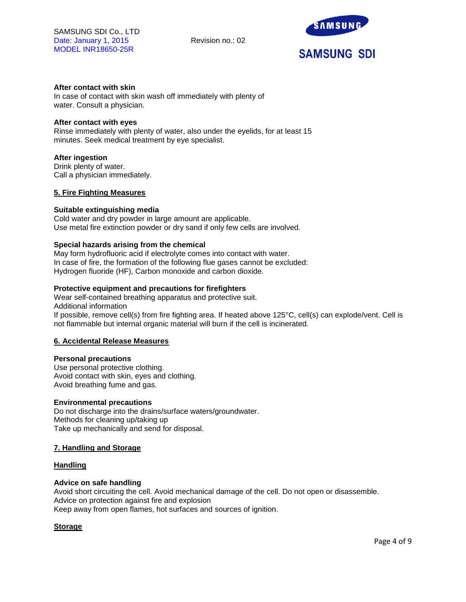

## **After contact with skin**

In case of contact with skin wash off immediately with plenty of water. Consult a physician.

#### **After contact with eyes**

Rinse immediately with plenty of water, also under the eyelids, for at least 15 minutes. Seek medical treatment by eye specialist.

#### **After ingestion**

Drink plenty of water. Call a physician immediately.

#### **5. Fire Fighting Measures**

#### **Suitable extinguishing media**

Cold water and dry powder in large amount are applicable. Use metal fire extinction powder or dry sand if only few cells are involved.

#### **Special hazards arising from the chemical**

May form hydrofluoric acid if electrolyte comes into contact with water. In case of fire, the formation of the following flue gases cannot be excluded: Hydrogen fluoride (HF), Carbon monoxide and carbon dioxide.

#### **Protective equipment and precautions for firefighters**

Wear self-contained breathing apparatus and protective suit. Additional information If possible, remove cell(s) from fire fighting area. If heated above 125°C, cell(s) can explode/vent. Cell is not flammable but internal organic material will burn if the cell is incinerated.

#### **6. Accidental Release Measures**

#### **Personal precautions**

Use personal protective clothing. Avoid contact with skin, eyes and clothing. Avoid breathing fume and gas.

#### **Environmental precautions**

Do not discharge into the drains/surface waters/groundwater. Methods for cleaning up/taking up Take up mechanically and send for disposal.

#### **7. Handling and Storage**

#### **Handling**

#### **Advice on safe handling**

Avoid short circuiting the cell. Avoid mechanical damage of the cell. Do not open or disassemble. Advice on protection against fire and explosion Keep away from open flames, hot surfaces and sources of ignition.

#### **Storage**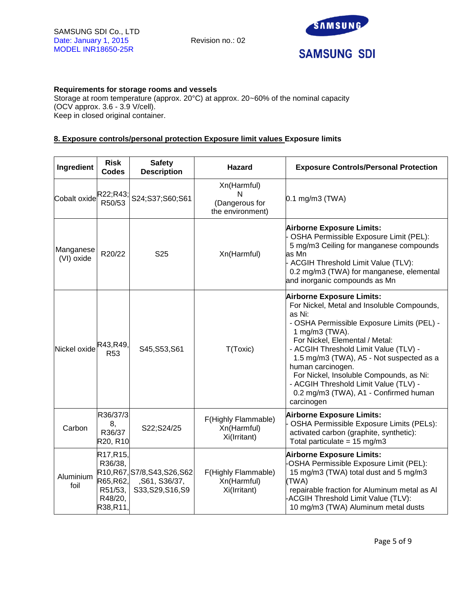

## **Requirements for storage rooms and vessels**

Storage at room temperature (approx. 20°C) at approx. 20~60% of the nominal capacity (OCV approx. 3.6 - 3.9 V/cell). Keep in closed original container.

## **8. Exposure controls/personal protection Exposure limit values Exposure limits**

| Ingredient              | <b>Risk</b><br><b>Codes</b>                                                                   | <b>Safety</b><br><b>Description</b>                                 | Hazard                                                 | <b>Exposure Controls/Personal Protection</b>                                                                                                                                                                                                                                                                                                                                                                                                    |
|-------------------------|-----------------------------------------------------------------------------------------------|---------------------------------------------------------------------|--------------------------------------------------------|-------------------------------------------------------------------------------------------------------------------------------------------------------------------------------------------------------------------------------------------------------------------------------------------------------------------------------------------------------------------------------------------------------------------------------------------------|
| Cobalt oxide R22;R43;   | R50/53                                                                                        | S24;S37;S60;S61                                                     | Xn(Harmful)<br>N<br>(Dangerous for<br>the environment) | $0.1$ mg/m3 (TWA)                                                                                                                                                                                                                                                                                                                                                                                                                               |
| Manganese<br>(VI) oxide | R20/22                                                                                        | S <sub>25</sub>                                                     | Xn(Harmful)                                            | <b>Airborne Exposure Limits:</b><br>OSHA Permissible Exposure Limit (PEL):<br>5 mg/m3 Ceiling for manganese compounds<br>as Mn<br>ACGIH Threshold Limit Value (TLV):<br>0.2 mg/m3 (TWA) for manganese, elemental<br>and inorganic compounds as Mn                                                                                                                                                                                               |
| Nickel oxide            | R43, R49,<br>R <sub>53</sub>                                                                  | S45, S53, S61                                                       | T(Toxic)                                               | <b>Airborne Exposure Limits:</b><br>For Nickel, Metal and Insoluble Compounds,<br>as Ni:<br>- OSHA Permissible Exposure Limits (PEL) -<br>1 mg/m3 (TWA).<br>For Nickel, Elemental / Metal:<br>- ACGIH Threshold Limit Value (TLV) -<br>1.5 mg/m3 (TWA), A5 - Not suspected as a<br>human carcinogen.<br>For Nickel, Insoluble Compounds, as Ni:<br>- ACGIH Threshold Limit Value (TLV) -<br>0.2 mg/m3 (TWA), A1 - Confirmed human<br>carcinogen |
| Carbon                  | R36/37/3<br>8,<br>R36/37<br>R20, R10                                                          | S22;S24/25                                                          | F(Highly Flammable)<br>Xn(Harmful)<br>Xi(Irritant)     | <b>Airborne Exposure Limits:</b><br>OSHA Permissible Exposure Limits (PELs):<br>activated carbon (graphite, synthetic):<br>Total particulate = $15 \text{ mg/m}$ 3                                                                                                                                                                                                                                                                              |
| Aluminium<br>foil       | R <sub>17</sub> , R <sub>15</sub> ,<br>R36/38,<br>R65, R62,<br>R51/53,<br>R48/20,<br>R38,R11, | R10, R67, S7/8, S43, S26, S62<br>,S61, S36/37,<br>S33, S29, S16, S9 | F(Highly Flammable)<br>Xn(Harmful)<br>Xi(Irritant)     | <b>Airborne Exposure Limits:</b><br>OSHA Permissible Exposure Limit (PEL):<br>15 mg/m3 (TWA) total dust and 5 mg/m3<br>(TWA)<br>repairable fraction for Aluminum metal as Al<br>ACGIH Threshold Limit Value (TLV):<br>10 mg/m3 (TWA) Aluminum metal dusts                                                                                                                                                                                       |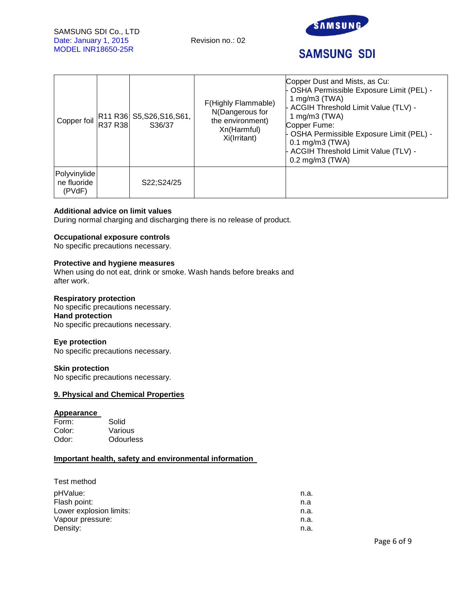

# **SAMSUNG SDI**

| Copper foil                           | R37 R38 | R11 R36 S5, S26, S16, S61,<br>S36/37 | F(Highly Flammable)<br>N(Dangerous for<br>the environment)<br>Xn(Harmful)<br>Xi(Irritant) | Copper Dust and Mists, as Cu:<br>- OSHA Permissible Exposure Limit (PEL) -<br>1 mg/m $3$ (TWA)<br>- ACGIH Threshold Limit Value (TLV) -<br>1 mg/m $3$ (TWA)<br>Copper Fume:<br>- OSHA Permissible Exposure Limit (PEL) -<br>$0.1$ mg/m $3$ (TWA)<br>- ACGIH Threshold Limit Value (TLV) -<br>$0.2$ mg/m $3$ (TWA) |
|---------------------------------------|---------|--------------------------------------|-------------------------------------------------------------------------------------------|-------------------------------------------------------------------------------------------------------------------------------------------------------------------------------------------------------------------------------------------------------------------------------------------------------------------|
| Polyvinylide<br>ne fluoride<br>(PVdF) |         | S22;S24/25                           |                                                                                           |                                                                                                                                                                                                                                                                                                                   |

## **Additional advice on limit values**

During normal charging and discharging there is no release of product.

#### **Occupational exposure controls**

No specific precautions necessary.

#### **Protective and hygiene measures**

When using do not eat, drink or smoke. Wash hands before breaks and after work.

#### **Respiratory protection**

No specific precautions necessary. **Hand protection**  No specific precautions necessary.

#### **Eye protection**

No specific precautions necessary.

#### **Skin protection**

No specific precautions necessary.

#### **9. Physical and Chemical Properties**

#### **Appearance**

| Form:  | Solid     |  |
|--------|-----------|--|
| Color: | Various   |  |
| Odor:  | Odourless |  |

#### **Important health, safety and environmental information**

| Test method             |      |
|-------------------------|------|
| pHValue:                | n.a. |
| Flash point:            | n.a  |
| Lower explosion limits: | n.a. |
| Vapour pressure:        | n.a. |
| Density:                | n.a. |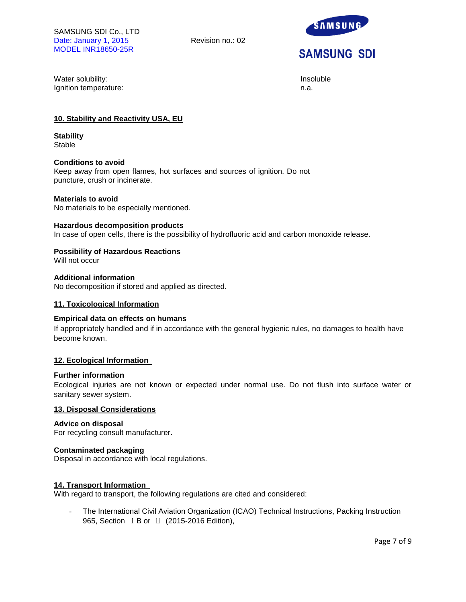

Water solubility: **Insoluble** and the soluble of the soluble of the soluble of the soluble of the soluble of the soluble Ignition temperature: n.a.

## **10. Stability and Reactivity USA, EU**

**Stability Stable** 

#### **Conditions to avoid**

Keep away from open flames, hot surfaces and sources of ignition. Do not puncture, crush or incinerate.

#### **Materials to avoid**

No materials to be especially mentioned.

#### **Hazardous decomposition products**

In case of open cells, there is the possibility of hydrofluoric acid and carbon monoxide release.

#### **Possibility of Hazardous Reactions**

Will not occur

## **Additional information**

No decomposition if stored and applied as directed.

#### **11. Toxicological Information**

#### **Empirical data on effects on humans**

If appropriately handled and if in accordance with the general hygienic rules, no damages to health have become known.

#### **12. Ecological Information**

#### **Further information**

Ecological injuries are not known or expected under normal use. Do not flush into surface water or sanitary sewer system.

#### **13. Disposal Considerations**

#### **Advice on disposal**

For recycling consult manufacturer.

#### **Contaminated packaging**

Disposal in accordance with local regulations.

#### **14. Transport Information**

With regard to transport, the following regulations are cited and considered:

The International Civil Aviation Organization (ICAO) Technical Instructions, Packing Instruction 965, Section ⅠB or Ⅱ (2015-2016 Edition),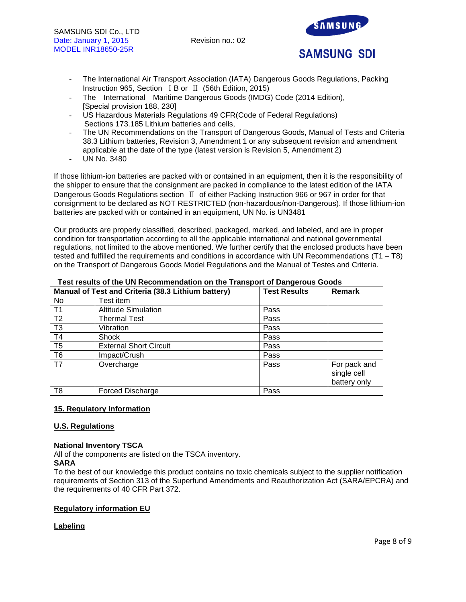

- The International Air Transport Association (IATA) Dangerous Goods Regulations, Packing Instruction 965, Section ⅠB or Ⅱ (56th Edition, 2015)
- The International Maritime Dangerous Goods (IMDG) Code (2014 Edition), [Special provision 188, 230]
- US Hazardous Materials Regulations 49 CFR(Code of Federal Regulations) Sections 173.185 Lithium batteries and cells,
- The UN Recommendations on the Transport of Dangerous Goods, Manual of Tests and Criteria 38.3 Lithium batteries, Revision 3, Amendment 1 or any subsequent revision and amendment applicable at the date of the type (latest version is Revision 5, Amendment 2)
- UN No. 3480

If those lithium-ion batteries are packed with or contained in an equipment, then it is the responsibility of the shipper to ensure that the consignment are packed in compliance to the latest edition of the IATA Dangerous Goods Regulations section Ⅱ of either Packing Instruction 966 or 967 in order for that consignment to be declared as NOT RESTRICTED (non-hazardous/non-Dangerous). If those lithium-ion batteries are packed with or contained in an equipment, UN No. is UN3481

Our products are properly classified, described, packaged, marked, and labeled, and are in proper condition for transportation according to all the applicable international and national governmental regulations, not limited to the above mentioned. We further certify that the enclosed products have been tested and fulfilled the requirements and conditions in accordance with UN Recommendations (T1 – T8) on the Transport of Dangerous Goods Model Regulations and the Manual of Testes and Criteria.

|                | Manual of Test and Criteria (38.3 Lithium battery) | <b>Test Results</b> | Remark                                      |
|----------------|----------------------------------------------------|---------------------|---------------------------------------------|
| No             | Test item                                          |                     |                                             |
| T <sub>1</sub> | <b>Altitude Simulation</b>                         | Pass                |                                             |
| T <sub>2</sub> | <b>Thermal Test</b>                                | Pass                |                                             |
| T <sub>3</sub> | Vibration                                          | Pass                |                                             |
| T <sub>4</sub> | Shock                                              | Pass                |                                             |
| T <sub>5</sub> | <b>External Short Circuit</b>                      | Pass                |                                             |
| T <sub>6</sub> | Impact/Crush                                       | Pass                |                                             |
| T7             | Overcharge                                         | Pass                | For pack and<br>single cell<br>battery only |
| T8             | <b>Forced Discharge</b>                            | Pass                |                                             |

#### **Test results of the UN Recommendation on the Transport of Dangerous Goods**

## **15. Regulatory Information**

#### **U.S. Regulations**

#### **National Inventory TSCA**

All of the components are listed on the TSCA inventory.

#### **SARA**

To the best of our knowledge this product contains no toxic chemicals subject to the supplier notification requirements of Section 313 of the Superfund Amendments and Reauthorization Act (SARA/EPCRA) and the requirements of 40 CFR Part 372.

## **Regulatory information EU**

## **Labeling**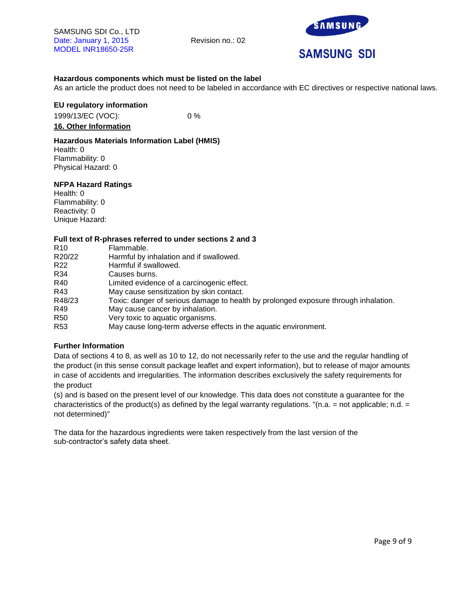

# **SAMSUNG SDI**

## **Hazardous components which must be listed on the label**

As an article the product does not need to be labeled in accordance with EC directives or respective national laws.

## **EU regulatory information**

1999/13/EC (VOC): 0 % **16. Other Information**

## **Hazardous Materials Information Label (HMIS)**

Health: 0 Flammability: 0 Physical Hazard: 0

#### **NFPA Hazard Ratings**

Health: 0 Flammability: 0 Reactivity: 0 Unique Hazard:

#### **Full text of R-phrases referred to under sections 2 and 3**

| R <sub>10</sub> | Flammable.                                                                          |
|-----------------|-------------------------------------------------------------------------------------|
| R20/22          | Harmful by inhalation and if swallowed.                                             |
| R <sub>22</sub> | Harmful if swallowed.                                                               |
| R34             | Causes burns.                                                                       |
| R40             | Limited evidence of a carcinogenic effect.                                          |
| R43             | May cause sensitization by skin contact.                                            |
| R48/23          | Toxic: danger of serious damage to health by prolonged exposure through inhalation. |
| R49             | May cause cancer by inhalation.                                                     |
| R <sub>50</sub> | Very toxic to aquatic organisms.                                                    |
| R <sub>53</sub> | May cause long-term adverse effects in the aquatic environment.                     |

## **Further Information**

Data of sections 4 to 8, as well as 10 to 12, do not necessarily refer to the use and the regular handling of the product (in this sense consult package leaflet and expert information), but to release of major amounts in case of accidents and irregularities. The information describes exclusively the safety requirements for the product

(s) and is based on the present level of our knowledge. This data does not constitute a guarantee for the characteristics of the product(s) as defined by the legal warranty regulations. "(n.a. = not applicable; n.d. = not determined)"

The data for the hazardous ingredients were taken respectively from the last version of the sub-contractor's safety data sheet.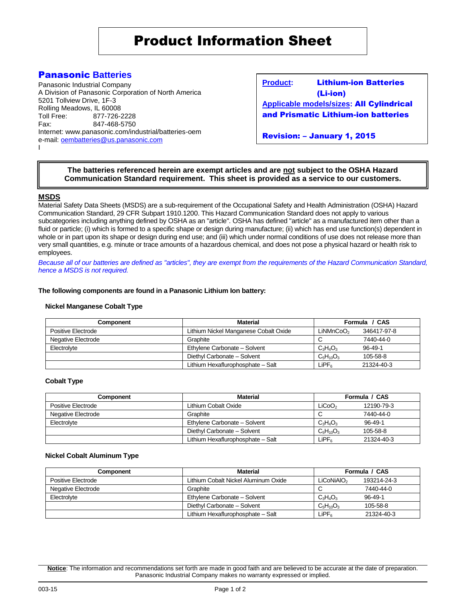## Panasonic **Batteries**

Panasonic Industrial Company A Division of Panasonic Corporation of North America 5201 Tollview Drive, 1F-3 Rolling Meadows, IL 60008 Toll Free: 877-726-2228 Fax: 847-468-5750 Internet: www.panasonic.com/industrial/batteries-oem e-mail: [oembatteries@us.panasonic.com](mailto:oembatteries@panasonic.com) I

**Product:** Lithium-ion Batteries (Li-ion) **Applicable models/sizes:** All Cylindrical

and Prismatic Lithium-ion batteries

Revision: – January 1, 2015

#### **Revision: G; Dated 10/1/08 The batteries referenced herein are exempt articles and are not subject to the OSHA Hazard Communication Standard requirement. This sheet is provided as a service to our customers.**

#### **MSDS**

Material Safety Data Sheets (MSDS) are a sub-requirement of the Occupational Safety and Health Administration (OSHA) Hazard Communication Standard, 29 CFR Subpart 1910.1200. This Hazard Communication Standard does not apply to various subcategories including anything defined by OSHA as an "article". OSHA has defined "article" as a manufactured item other than a fluid or particle; (i) which is formed to a specific shape or design during manufacture; (ii) which has end use function(s) dependent in whole or in part upon its shape or design during end use; and (iii) which under normal conditions of use does not release more than very small quantities, e.g. minute or trace amounts of a hazardous chemical, and does not pose a physical hazard or health risk to employees.

*Because all of our batteries are defined as "articles", they are exempt from the requirements of the Hazard Communication Standard, hence a MSDS is not required.*

#### **The following components are found in a Panasonic Lithium Ion battery:**

#### **Nickel Manganese Cobalt Type**

| <b>Component</b>   | <b>Material</b>                       | Formula / CAS         |               |
|--------------------|---------------------------------------|-----------------------|---------------|
| Positive Electrode | Lithium Nickel Manganese Cobalt Oxide | LiNMnCoO <sub>2</sub> | 346417-97-8   |
| Negative Electrode | Graphite                              |                       | 7440-44-0     |
| Electrolyte        | Ethylene Carbonate - Solvent          | $C_3H_4O_3$           | $96 - 49 - 1$ |
|                    | Diethyl Carbonate - Solvent           | $C5H10O3$             | 105-58-8      |
|                    | Lithium Hexaflurophosphate - Salt     | LiPFء                 | 21324-40-3    |

#### **Cobalt Type**

| Component          | <b>Material</b>                   | Formula / CAS      |               |
|--------------------|-----------------------------------|--------------------|---------------|
| Positive Electrode | Lithium Cobalt Oxide              | LiCoO <sub>2</sub> | 12190-79-3    |
| Negative Electrode | Graphite                          |                    | 7440-44-0     |
| Electrolyte        | Ethylene Carbonate - Solvent      | $C_3H_4O_3$        | $96 - 49 - 1$ |
|                    | Diethyl Carbonate - Solvent       | $C_5H_{10}O_3$     | 105-58-8      |
|                    | Lithium Hexaflurophosphate - Salt | LiPF <sub>ه</sub>  | 21324-40-3    |

#### **Nickel Cobalt Aluminum Type**

| Component          | <b>Material</b>                      | Formula / CAS          |               |
|--------------------|--------------------------------------|------------------------|---------------|
| Positive Electrode | Lithium Cobalt Nickel Aluminum Oxide | LiCoNiAIO <sub>2</sub> | 193214-24-3   |
| Negative Electrode | Graphite                             |                        | 7440-44-0     |
| Electrolyte        | Ethylene Carbonate - Solvent         | $C_3H_4O_3$            | $96 - 49 - 1$ |
|                    | Diethyl Carbonate - Solvent          | $C_5H_{10}O_3$         | 105-58-8      |
|                    | Lithium Hexaflurophosphate - Salt    | LiPFء                  | 21324-40-3    |

**Notice**: The information and recommendations set forth are made in good faith and are believed to be accurate at the date of preparation. Panasonic Industrial Company makes no warranty expressed or implied.